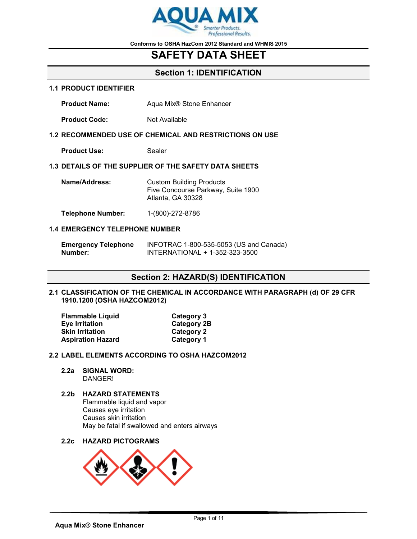

## **SAFETY DATA SHEET**

## **Section 1: IDENTIFICATION**

#### **1.1 PRODUCT IDENTIFIER**

**Product Name:** Aqua Mix<sup>®</sup> Stone Enhancer

**Product Code:** Not Available

### **1.2 RECOMMENDED USE OF CHEMICAL AND RESTRICTIONS ON USE**

**Product Use:** Sealer

### **1.3 DETAILS OF THE SUPPLIER OF THE SAFETY DATA SHEETS**

| Name/Address: | <b>Custom Building Products</b>    |
|---------------|------------------------------------|
|               | Five Concourse Parkway, Suite 1900 |
|               | Atlanta, GA 30328                  |
|               |                                    |

**Telephone Number:** 1-(800)-272-8786

### **1.4 EMERGENCY TELEPHONE NUMBER**

| <b>Emergency Telephone</b> | INFOTRAC 1-800-535-5053 (US and Canada) |  |
|----------------------------|-----------------------------------------|--|
| Number:                    | INTERNATIONAL + 1-352-323-3500          |  |

## **Section 2: HAZARD(S) IDENTIFICATION**

### **2.1 CLASSIFICATION OF THE CHEMICAL IN ACCORDANCE WITH PARAGRAPH (d) OF 29 CFR 1910.1200 (OSHA HAZCOM2012)**

| <b>Flammable Liquid</b>  | Category 3         |
|--------------------------|--------------------|
| <b>Eye Irritation</b>    | <b>Category 2B</b> |
| <b>Skin Irritation</b>   | Category 2         |
| <b>Aspiration Hazard</b> | <b>Category 1</b>  |

### **2.2 LABEL ELEMENTS ACCORDING TO OSHA HAZCOM2012**

**2.2a SIGNAL WORD:** DANGER!

### **2.2b HAZARD STATEMENTS** Flammable liquid and vapor

Causes eye irritation Causes skin irritation May be fatal if swallowed and enters airways

**2.2c HAZARD PICTOGRAMS**

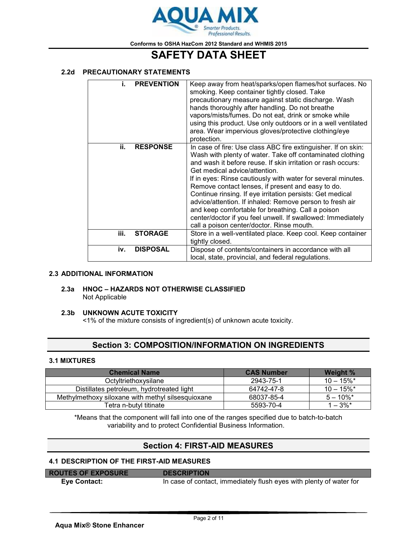

# **SAFETY DATA SHEET**

### **2.2d PRECAUTIONARY STATEMENTS**

| i.   | <b>PREVENTION</b> | Keep away from heat/sparks/open flames/hot surfaces. No<br>smoking. Keep container tightly closed. Take<br>precautionary measure against static discharge. Wash<br>hands thoroughly after handling. Do not breathe<br>vapors/mists/fumes. Do not eat, drink or smoke while<br>using this product. Use only outdoors or in a well ventilated<br>area. Wear impervious gloves/protective clothing/eye<br>protection.                                                                                                                                                                                                                         |
|------|-------------------|--------------------------------------------------------------------------------------------------------------------------------------------------------------------------------------------------------------------------------------------------------------------------------------------------------------------------------------------------------------------------------------------------------------------------------------------------------------------------------------------------------------------------------------------------------------------------------------------------------------------------------------------|
| ii.  | <b>RESPONSE</b>   | In case of fire: Use class ABC fire extinguisher. If on skin:<br>Wash with plenty of water. Take off contaminated clothing<br>and wash it before reuse. If skin irritation or rash occurs:<br>Get medical advice/attention.<br>If in eyes: Rinse cautiously with water for several minutes.<br>Remove contact lenses, if present and easy to do.<br>Continue rinsing. If eye irritation persists: Get medical<br>advice/attention. If inhaled: Remove person to fresh air<br>and keep comfortable for breathing. Call a poison<br>center/doctor if you feel unwell. If swallowed: Immediately<br>call a poison center/doctor. Rinse mouth. |
| iii. | <b>STORAGE</b>    | Store in a well-ventilated place. Keep cool. Keep container<br>tightly closed.                                                                                                                                                                                                                                                                                                                                                                                                                                                                                                                                                             |
| iv.  | <b>DISPOSAL</b>   | Dispose of contents/containers in accordance with all<br>local, state, provincial, and federal regulations.                                                                                                                                                                                                                                                                                                                                                                                                                                                                                                                                |

### **2.3 ADDITIONAL INFORMATION**

### **2.3a HNOC – HAZARDS NOT OTHERWISE CLASSIFIED** Not Applicable

### **2.3b UNKNOWN ACUTE TOXICITY**

<1% of the mixture consists of ingredient(s) of unknown acute toxicity.

## **Section 3: COMPOSITION/INFORMATION ON INGREDIENTS**

### **3.1 MIXTURES**

| <b>Chemical Name</b>                              | <b>CAS Number</b> | <b>Weight %</b>          |
|---------------------------------------------------|-------------------|--------------------------|
| Octyltriethoxysilane                              | 2943-75-1         | $10 - 15\%$ *            |
| Distillates petroleum, hydrotreated light         | 64742-47-8        | $10 - 15\%$ <sup>*</sup> |
| Methylmethoxy siloxane with methyl silsesquioxane | 68037-85-4        | $5 - 10\%$ *             |
| Tetra n-butyl titinate                            | 5593-70-4         | $1 - 3\%$ *              |

\*Means that the component will fall into one of the ranges specified due to batch-to-batch variability and to protect Confidential Business Information.

## **Section 4: FIRST-AID MEASURES**

### **4.1 DESCRIPTION OF THE FIRST-AID MEASURES**

| <b>ROUTES OF EXPOSURE</b> | <b>DESCRIPTION</b>                                                  |
|---------------------------|---------------------------------------------------------------------|
| Eye Contact:              | In case of contact, immediately flush eyes with plenty of water for |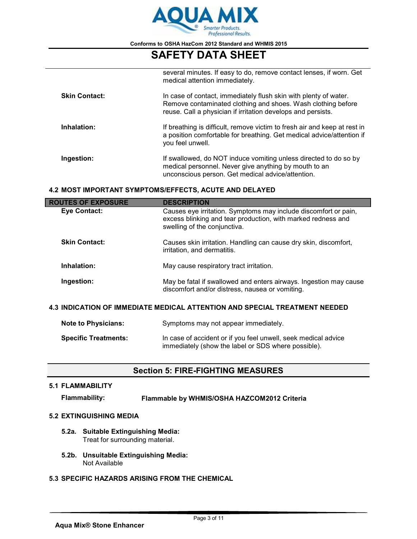

# **SAFETY DATA SHEET**

|                      | several minutes. If easy to do, remove contact lenses, if worn. Get<br>medical attention immediately.                                                                                            |
|----------------------|--------------------------------------------------------------------------------------------------------------------------------------------------------------------------------------------------|
| <b>Skin Contact:</b> | In case of contact, immediately flush skin with plenty of water.<br>Remove contaminated clothing and shoes. Wash clothing before<br>reuse. Call a physician if irritation develops and persists. |
| Inhalation:          | If breathing is difficult, remove victim to fresh air and keep at rest in<br>a position comfortable for breathing. Get medical advice/attention if<br>you feel unwell.                           |
| Ingestion:           | If swallowed, do NOT induce vomiting unless directed to do so by<br>medical personnel. Never give anything by mouth to an<br>unconscious person. Get medical advice/attention.                   |

### **4.2 MOST IMPORTANT SYMPTOMS/EFFECTS, ACUTE AND DELAYED**

| <b>ROUTES OF EXPOSURE</b>                                                  | <b>DESCRIPTION</b>                                                                                                                                                                                                                                                 |  |  |
|----------------------------------------------------------------------------|--------------------------------------------------------------------------------------------------------------------------------------------------------------------------------------------------------------------------------------------------------------------|--|--|
| Eye Contact:                                                               | Causes eye irritation. Symptoms may include discomfort or pain,<br>excess blinking and tear production, with marked redness and<br>swelling of the conjunctiva.<br>Causes skin irritation. Handling can cause dry skin, discomfort,<br>irritation, and dermatitis. |  |  |
| <b>Skin Contact:</b>                                                       |                                                                                                                                                                                                                                                                    |  |  |
| Inhalation:                                                                | May cause respiratory tract irritation.                                                                                                                                                                                                                            |  |  |
| Ingestion:                                                                 | May be fatal if swallowed and enters airways. Ingestion may cause<br>discomfort and/or distress, nausea or vomiting.                                                                                                                                               |  |  |
| 4.3 INDICATION OF IMMEDIATE MEDICAL ATTENTION AND SPECIAL TREATMENT NEEDED |                                                                                                                                                                                                                                                                    |  |  |
| <b>Note to Physicians:</b>                                                 | Symptoms may not appear immediately.                                                                                                                                                                                                                               |  |  |

| <b>Specific Treatments:</b> | In case of accident or if you feel unwell, seek medical advice |
|-----------------------------|----------------------------------------------------------------|
|                             | immediately (show the label or SDS where possible).            |

## **Section 5: FIRE-FIGHTING MEASURES**

### **5.1 FLAMMABILITY**

**Flammability: Flammable by WHMIS/OSHA HAZCOM2012 Criteria**

### **5.2 EXTINGUISHING MEDIA**

- **5.2a. Suitable Extinguishing Media:** Treat for surrounding material.
- **5.2b. Unsuitable Extinguishing Media:** Not Available
- **5.3 SPECIFIC HAZARDS ARISING FROM THE CHEMICAL**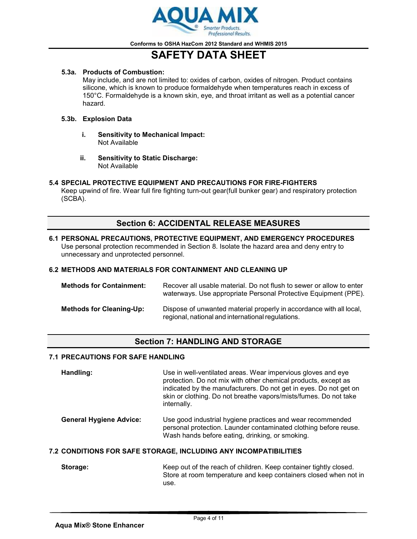

# **SAFETY DATA SHEET**

### **5.3a. Products of Combustion:**

May include, and are not limited to: oxides of carbon, oxides of nitrogen. Product contains silicone, which is known to produce formaldehyde when temperatures reach in excess of 150°C. Formaldehyde is a known skin, eye, and throat irritant as well as a potential cancer hazard.

### **5.3b. Explosion Data**

- **i. Sensitivity to Mechanical Impact:** Not Available
- **ii. Sensitivity to Static Discharge:** Not Available

### **5.4 SPECIAL PROTECTIVE EQUIPMENT AND PRECAUTIONS FOR FIRE-FIGHTERS**

Keep upwind of fire. Wear full fire fighting turn-out gear(full bunker gear) and respiratory protection (SCBA).

## **Section 6: ACCIDENTAL RELEASE MEASURES**

### **6.1 PERSONAL PRECAUTIONS, PROTECTIVE EQUIPMENT, AND EMERGENCY PROCEDURES** Use personal protection recommended in Section 8. Isolate the hazard area and deny entry to unnecessary and unprotected personnel.

### **6.2 METHODS AND MATERIALS FOR CONTAINMENT AND CLEANING UP**

| <b>Methods for Containment:</b> | Recover all usable material. Do not flush to sewer or allow to enter<br>waterways. Use appropriate Personal Protective Equipment (PPE). |
|---------------------------------|-----------------------------------------------------------------------------------------------------------------------------------------|
| <b>Methods for Cleaning-Up:</b> | Dispose of unwanted material properly in accordance with all local,<br>regional, national and international regulations.                |

## **Section 7: HANDLING AND STORAGE**

### **7.1 PRECAUTIONS FOR SAFE HANDLING**

| Handling: | Use in well-ventilated areas. Wear impervious gloves and eye<br>protection. Do not mix with other chemical products, except as<br>indicated by the manufacturers. Do not get in eyes. Do not get on<br>skin or clothing. Do not breathe vapors/mists/fumes. Do not take<br>internally. |
|-----------|----------------------------------------------------------------------------------------------------------------------------------------------------------------------------------------------------------------------------------------------------------------------------------------|
|           |                                                                                                                                                                                                                                                                                        |

**General Hygiene Advice:** Use good industrial hygiene practices and wear recommended personal protection. Launder contaminated clothing before reuse. Wash hands before eating, drinking, or smoking.

### **7.2 CONDITIONS FOR SAFE STORAGE, INCLUDING ANY INCOMPATIBILITIES**

**Storage:** Keep out of the reach of children. Keep container tightly closed. Store at room temperature and keep containers closed when not in use.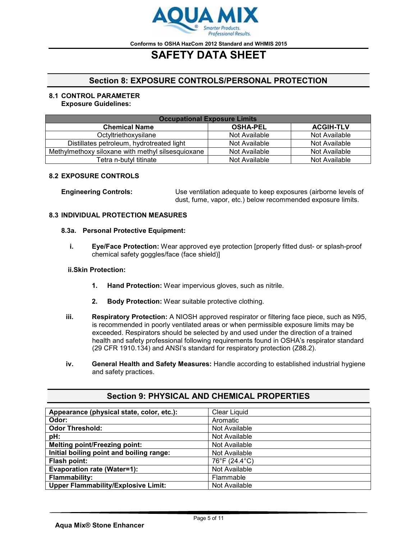

# **SAFETY DATA SHEET**

## **Section 8: EXPOSURE CONTROLS/PERSONAL PROTECTION**

#### **8.1 CONTROL PARAMETER Exposure Guidelines:**

| <b>Occupational Exposure Limits</b>               |                 |                  |
|---------------------------------------------------|-----------------|------------------|
| <b>Chemical Name</b>                              | <b>OSHA-PEL</b> | <b>ACGIH-TLV</b> |
| Octyltriethoxysilane                              | Not Available   | Not Available    |
| Distillates petroleum, hydrotreated light         | Not Available   | Not Available    |
| Methylmethoxy siloxane with methyl silsesquioxane | Not Available   | Not Available    |
| Tetra n-butyl titinate                            | Not Available   | Not Available    |

### **8.2 EXPOSURE CONTROLS**

**Engineering Controls:** Use ventilation adequate to keep exposures (airborne levels of dust, fume, vapor, etc.) below recommended exposure limits.

### **8.3 INDIVIDUAL PROTECTION MEASURES**

### **8.3a. Personal Protective Equipment:**

**i. Eye/Face Protection:** Wear approved eye protection [properly fitted dust- or splash-proof chemical safety goggles/face (face shield)]

### **ii.Skin Protection:**

- **1. Hand Protection:** Wear impervious gloves, such as nitrile.
- **2. Body Protection:** Wear suitable protective clothing.
- **iii. Respiratory Protection:** A NIOSH approved respirator or filtering face piece, such as N95, is recommended in poorly ventilated areas or when permissible exposure limits may be exceeded. Respirators should be selected by and used under the direction of a trained health and safety professional following requirements found in OSHA's respirator standard (29 CFR 1910.134) and ANSI's standard for respiratory protection (Z88.2).
- **iv. General Health and Safety Measures:** Handle according to established industrial hygiene and safety practices.

| Appearance (physical state, color, etc.):  | <b>Clear Liquid</b> |
|--------------------------------------------|---------------------|
| Odor:                                      | Aromatic            |
| <b>Odor Threshold:</b>                     | Not Available       |
| pH:                                        | Not Available       |
| <b>Melting point/Freezing point:</b>       | Not Available       |
| Initial boiling point and boiling range:   | Not Available       |
| Flash point:                               | 76°F (24.4°C)       |
| <b>Evaporation rate (Water=1):</b>         | Not Available       |
| <b>Flammability:</b>                       | Flammable           |
| <b>Upper Flammability/Explosive Limit:</b> | Not Available       |

## **Section 9: PHYSICAL AND CHEMICAL PROPERTIES**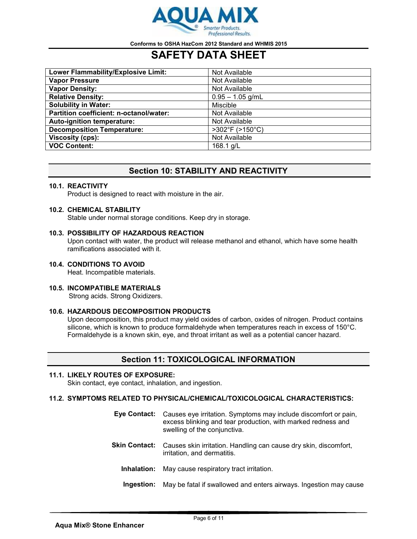

## **SAFETY DATA SHEET**

| Lower Flammability/Explosive Limit:     | Not Available                  |
|-----------------------------------------|--------------------------------|
| <b>Vapor Pressure</b>                   | Not Available                  |
| <b>Vapor Density:</b>                   | Not Available                  |
| <b>Relative Density:</b>                | $0.95 - 1.05$ g/mL             |
| <b>Solubility in Water:</b>             | <b>Miscible</b>                |
| Partition coefficient: n-octanol/water: | Not Available                  |
| Auto-ignition temperature:              | Not Available                  |
| <b>Decomposition Temperature:</b>       | $>302^{\circ}F(>150^{\circ}C)$ |
| Viscosity (cps):                        | Not Available                  |
| <b>VOC Content:</b>                     | 168.1 g/L                      |

## **Section 10: STABILITY AND REACTIVITY**

### **10.1. REACTIVITY**

Product is designed to react with moisture in the air.

### **10.2. CHEMICAL STABILITY**

Stable under normal storage conditions. Keep dry in storage.

### **10.3. POSSIBILITY OF HAZARDOUS REACTION**

Upon contact with water, the product will release methanol and ethanol, which have some health ramifications associated with it.

### **10.4. CONDITIONS TO AVOID**

Heat. Incompatible materials.

**10.5. INCOMPATIBLE MATERIALS** Strong acids. Strong Oxidizers.

### **10.6. HAZARDOUS DECOMPOSITION PRODUCTS**

Upon decomposition, this product may yield oxides of carbon, oxides of nitrogen. Product contains silicone, which is known to produce formaldehyde when temperatures reach in excess of 150°C. Formaldehyde is a known skin, eye, and throat irritant as well as a potential cancer hazard.

## **Section 11: TOXICOLOGICAL INFORMATION**

### **11.1. LIKELY ROUTES OF EXPOSURE:**

Skin contact, eye contact, inhalation, and ingestion.

### **11.2. SYMPTOMS RELATED TO PHYSICAL/CHEMICAL/TOXICOLOGICAL CHARACTERISTICS:**

| Eye Contact:         | Causes eye irritation. Symptoms may include discomfort or pain,<br>excess blinking and tear production, with marked redness and<br>swelling of the conjunctiva. |
|----------------------|-----------------------------------------------------------------------------------------------------------------------------------------------------------------|
| <b>Skin Contact:</b> | Causes skin irritation. Handling can cause dry skin, discomfort,<br>irritation, and dermatitis.                                                                 |
| Inhalation:          | May cause respiratory tract irritation.                                                                                                                         |
|                      |                                                                                                                                                                 |

**Ingestion:** May be fatal if swallowed and enters airways. Ingestion may cause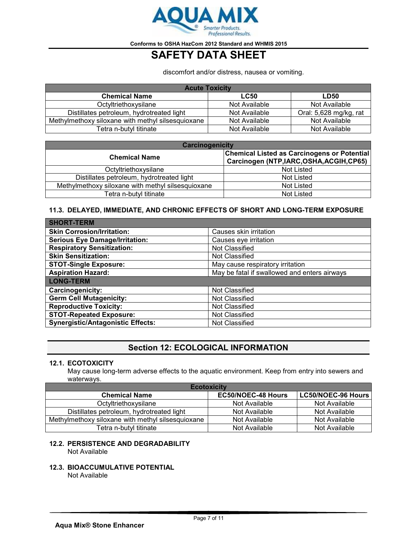

# **SAFETY DATA SHEET**

discomfort and/or distress, nausea or vomiting.

| <b>Acute Toxicity</b>                             |               |                        |
|---------------------------------------------------|---------------|------------------------|
| <b>Chemical Name</b>                              | <b>LC50</b>   | <b>LD50</b>            |
| Octyltriethoxysilane                              | Not Available | Not Available          |
| Distillates petroleum, hydrotreated light         | Not Available | Oral: 5,628 mg/kg, rat |
| Methylmethoxy siloxane with methyl silsesquioxane | Not Available | Not Available          |
| Tetra n-butyl titinate                            | Not Available | Not Available          |

| <b>Carcinogenicity</b>                            |                                                                                      |  |
|---------------------------------------------------|--------------------------------------------------------------------------------------|--|
| <b>Chemical Name</b>                              | Chemical Listed as Carcinogens or Potential<br>Carcinogen (NTP,IARC,OSHA,ACGIH,CP65) |  |
| Octyltriethoxysilane                              | Not Listed                                                                           |  |
| Distillates petroleum, hydrotreated light         | <b>Not Listed</b>                                                                    |  |
| Methylmethoxy siloxane with methyl silsesquioxane | <b>Not Listed</b>                                                                    |  |
| Tetra n-butyl titinate                            | <b>Not Listed</b>                                                                    |  |

### **11.3. DELAYED, IMMEDIATE, AND CHRONIC EFFECTS OF SHORT AND LONG-TERM EXPOSURE**

| <b>SHORT-TERM</b>                        |                                              |
|------------------------------------------|----------------------------------------------|
| <b>Skin Corrosion/Irritation:</b>        | Causes skin irritation                       |
| <b>Serious Eye Damage/Irritation:</b>    | Causes eye irritation                        |
| <b>Respiratory Sensitization:</b>        | Not Classified                               |
| <b>Skin Sensitization:</b>               | Not Classified                               |
| <b>STOT-Single Exposure:</b>             | May cause respiratory irritation             |
| <b>Aspiration Hazard:</b>                | May be fatal if swallowed and enters airways |
| <b>LONG-TERM</b>                         |                                              |
| Carcinogenicity:                         | Not Classified                               |
| <b>Germ Cell Mutagenicity:</b>           | Not Classified                               |
| <b>Reproductive Toxicity:</b>            | Not Classified                               |
| <b>STOT-Repeated Exposure:</b>           | Not Classified                               |
| <b>Synergistic/Antagonistic Effects:</b> | Not Classified                               |

## **Section 12: ECOLOGICAL INFORMATION**

### **12.1. ECOTOXICITY**

May cause long-term adverse effects to the aquatic environment. Keep from entry into sewers and waterways.

| <b>Ecotoxicity</b>                                |                           |                           |
|---------------------------------------------------|---------------------------|---------------------------|
| <b>Chemical Name</b>                              | <b>EC50/NOEC-48 Hours</b> | <b>LC50/NOEC-96 Hours</b> |
| Octyltriethoxysilane                              | Not Available             | Not Available             |
| Distillates petroleum, hydrotreated light         | Not Available             | Not Available             |
| Methylmethoxy siloxane with methyl silsesquioxane | Not Available             | Not Available             |
| Tetra n-butyl titinate                            | Not Available             | Not Available             |

## **12.2. PERSISTENCE AND DEGRADABILITY**

Not Available

**12.3. BIOACCUMULATIVE POTENTIAL**

Not Available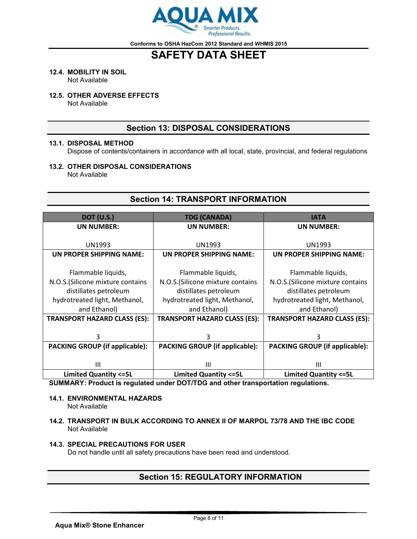

# **SAFETY DATA SHEET**

### **12.4. MOBILITY IN SOIL**

Not Available

### **12.5. OTHER ADVERSE EFFECTS**

Not Available

## **Section 13: DISPOSAL CONSIDERATIONS**

### **13.1. DISPOSAL METHOD**

Dispose of contents/containers in accordance with all local, state, provincial, and federal regulations

### **13.2. OTHER DISPOSAL CONSIDERATIONS**

Not Available

## **Section 14: TRANSPORT INFORMATION**

| <b>DOT (U.S.)</b>                     | <b>TDG (CANADA)</b>                   | <b>IATA</b>                           |
|---------------------------------------|---------------------------------------|---------------------------------------|
| <b>UN NUMBER:</b>                     | <b>UN NUMBER:</b>                     | UN NUMBER:                            |
|                                       |                                       |                                       |
| <b>UN1993</b>                         | <b>UN1993</b>                         | <b>UN1993</b>                         |
| UN PROPER SHIPPING NAME:              | UN PROPER SHIPPING NAME:              | UN PROPER SHIPPING NAME:              |
|                                       |                                       |                                       |
| Flammable liquids,                    | Flammable liquids,                    | Flammable liquids,                    |
| N.O.S. (Silicone mixture contains     | N.O.S. (Silicone mixture contains     | N.O.S. (Silicone mixture contains     |
| distillates petroleum                 | distillates petroleum                 | distillates petroleum                 |
| hydrotreated light, Methanol,         | hydrotreated light, Methanol,         | hydrotreated light, Methanol,         |
| and Ethanol)                          | and Ethanol)                          | and Ethanol)                          |
| <b>TRANSPORT HAZARD CLASS (ES):</b>   | <b>TRANSPORT HAZARD CLASS (ES):</b>   | <b>TRANSPORT HAZARD CLASS (ES):</b>   |
|                                       |                                       |                                       |
| 3                                     | 3                                     | 3                                     |
| <b>PACKING GROUP (if applicable):</b> | <b>PACKING GROUP (if applicable):</b> | <b>PACKING GROUP (if applicable):</b> |
|                                       |                                       |                                       |
| Ш                                     | Ш                                     | Ш                                     |
| <b>Limited Quantity &lt;= 5L</b>      | <b>Limited Quantity &lt;= 5L</b>      | <b>Limited Quantity &lt;= 5L</b>      |

**SUMMARY: Product is regulated under DOT/TDG and other transportation regulations.**

#### **14.1. ENVIRONMENTAL HAZARDS** Not Available

### **14.2. TRANSPORT IN BULK ACCORDING TO ANNEX II OF MARPOL 73/78 AND THE IBC CODE** Not Available

### **14.3. SPECIAL PRECAUTIONS FOR USER**

Do not handle until all safety precautions have been read and understood.

## **Section 15: REGULATORY INFORMATION**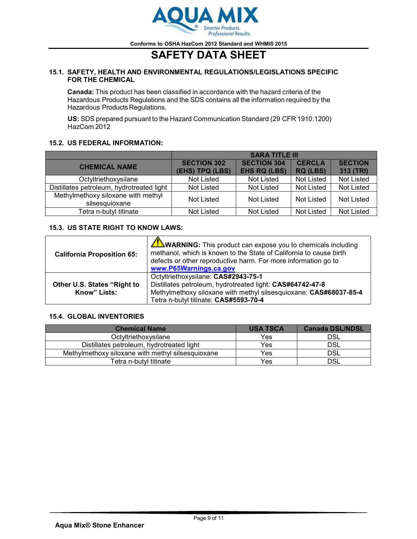

# **SAFETY DATA SHEET**

### **15.1. SAFETY, HEALTH AND ENVIRONMENTAL REGULATIONS/LEGISLATIONS SPECIFIC FOR THE CHEMICAL**

**Canada:** This product has been classified in accordance with the hazard criteria of the Hazardous Products Regulations and the SDS contains all the information required by the Hazardous Products Regulations.

**US:** SDS prepared pursuant to the Hazard Communication Standard (29 CFR 1910.1200) HazCom 2012

### **15.2. US FEDERAL INFORMATION:**

|                                                      | <b>SARA TITLE III</b>                 |                                           |                                  |                             |
|------------------------------------------------------|---------------------------------------|-------------------------------------------|----------------------------------|-----------------------------|
| <b>CHEMICAL NAME</b>                                 | <b>SECTION 302</b><br>(EHS) TPQ (LBS) | <b>SECTION 304</b><br><b>EHS RQ (LBS)</b> | <b>CERCLA</b><br><b>RQ (LBS)</b> | <b>SECTION</b><br>313 (TRI) |
| Octyltriethoxysilane                                 | Not Listed                            | Not Listed                                | Not Listed                       | Not Listed                  |
| Distillates petroleum, hydrotreated light            | Not Listed                            | <b>Not Listed</b>                         | Not Listed                       | Not Listed                  |
| Methylmethoxy siloxane with methyl<br>silsesquioxane | Not Listed                            | <b>Not Listed</b>                         | Not Listed                       | Not Listed                  |
| Tetra n-butyl titinate                               | Not Listed                            | <b>Not Listed</b>                         | Not Listed                       | Not Listed                  |

### **15.3. US STATE RIGHT TO KNOW LAWS:**

| <b>California Proposition 65:</b>           | WARNING: This product can expose you to chemicals including<br>methanol, which is known to the State of California to cause birth<br>defects or other reproductive harm. For more information go to<br>www.P65Warnings.ca.gov |
|---------------------------------------------|-------------------------------------------------------------------------------------------------------------------------------------------------------------------------------------------------------------------------------|
| Other U.S. States "Right to<br>Know" Lists: | Octyltriethoxysilane: CAS#2943-75-1<br>Distillates petroleum, hydrotreated light: CAS#64742-47-8<br>Methylmethoxy siloxane with methyl silsesquioxane: CAS#68037-85-4<br>Tetra n-butyl titinate: CAS#5593-70-4                |

### **15.4. GLOBAL INVENTORIES**

| <b>Chemical Name</b>                              | <b>USA TSCA</b> | <b>Canada DSL/NDSL</b> |
|---------------------------------------------------|-----------------|------------------------|
| Octyltriethoxysilane                              | <b>Yes</b>      | DSL                    |
| Distillates petroleum, hydrotreated light         | Yes             | DSL                    |
| Methylmethoxy siloxane with methyl silsesquioxane | Yes             | DSL                    |
| Tetra n-butvl titinate                            | Yes             | DSL                    |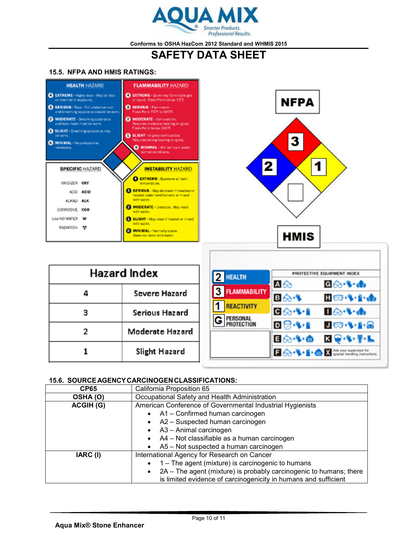

## **SAFETY DATA SHEET**

### **15.5. NFPA AND HMIS RATINGS:**



### **15.6. SOURCEAGENCYCARCINOGENCLASSIFICATIONS:**

| <b>CP65</b>      | California Proposition 65                                          |
|------------------|--------------------------------------------------------------------|
| OSHA(O)          | Occupational Safety and Health Administration                      |
| <b>ACGIH (G)</b> | American Conference of Governmental Industrial Hygienists          |
|                  | A1 - Confirmed human carcinogen<br>$\bullet$                       |
|                  | A2 - Suspected human carcinogen                                    |
|                  | A3 - Animal carcinogen                                             |
|                  | A4 - Not classifiable as a human carcinogen                        |
|                  | A5 - Not suspected a human carcinogen                              |
| IARC (I)         | International Agency for Research on Cancer                        |
|                  | 1 - The agent (mixture) is carcinogenic to humans                  |
|                  | 2A - The agent (mixture) is probably carcinogenic to humans; there |
|                  | is limited evidence of carcinogenicity in humans and sufficient    |